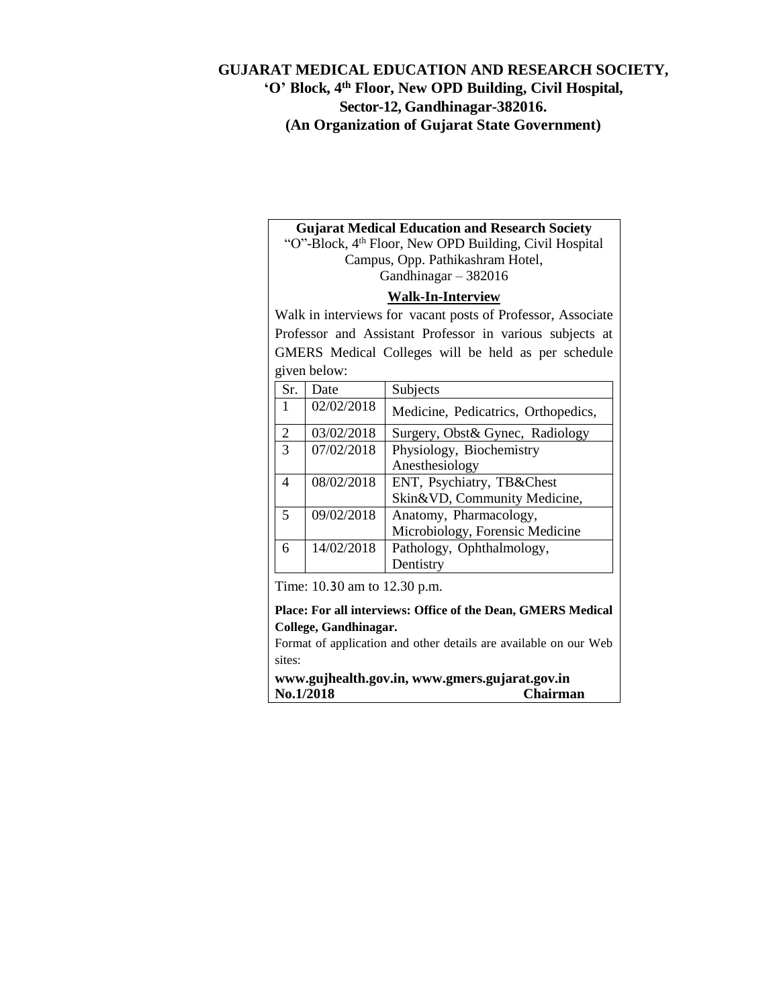## **GUJARAT MEDICAL EDUCATION AND RESEARCH SOCIETY, 'O' Block, 4 th Floor, New OPD Building, Civil Hospital, Sector-12, Gandhinagar-382016. (An Organization of Gujarat State Government)**

### **Gujarat Medical Education and Research Society**

"O"-Block, 4th Floor, New OPD Building, Civil Hospital Campus, Opp. Pathikashram Hotel, Gandhinagar – 382016

#### **Walk-In-Interview**

Walk in interviews for vacant posts of Professor, Associate Professor and Assistant Professor in various subjects at GMERS Medical Colleges will be held as per schedule  $\Delta$ below: given below:

| Sr.                      | Date       | Subjects                            |
|--------------------------|------------|-------------------------------------|
| 1                        | 02/02/2018 | Medicine, Pedicatrics, Orthopedics, |
| 2                        | 03/02/2018 | Surgery, Obst& Gynec, Radiology     |
| 3                        | 07/02/2018 | Physiology, Biochemistry            |
|                          |            | Anesthesiology                      |
| $\overline{\mathcal{A}}$ | 08/02/2018 | ENT, Psychiatry, TB&Chest           |
|                          |            | Skin&VD, Community Medicine,        |
| $\overline{\phantom{0}}$ | 09/02/2018 | Anatomy, Pharmacology,              |
|                          |            | Microbiology, Forensic Medicine     |
| 6                        | 14/02/2018 | Pathology, Ophthalmology,           |
|                          |            | Dentistry                           |

Time: 10.30 am to 12.30 p.m.

**Place: For all interviews: Office of the Dean, GMERS Medical College, Gandhinagar.**

Format of application and other details are available on our Web sites:

**www.gujhealth.gov.in, www.gmers.gujarat.gov.in No.1/2018 Chairman**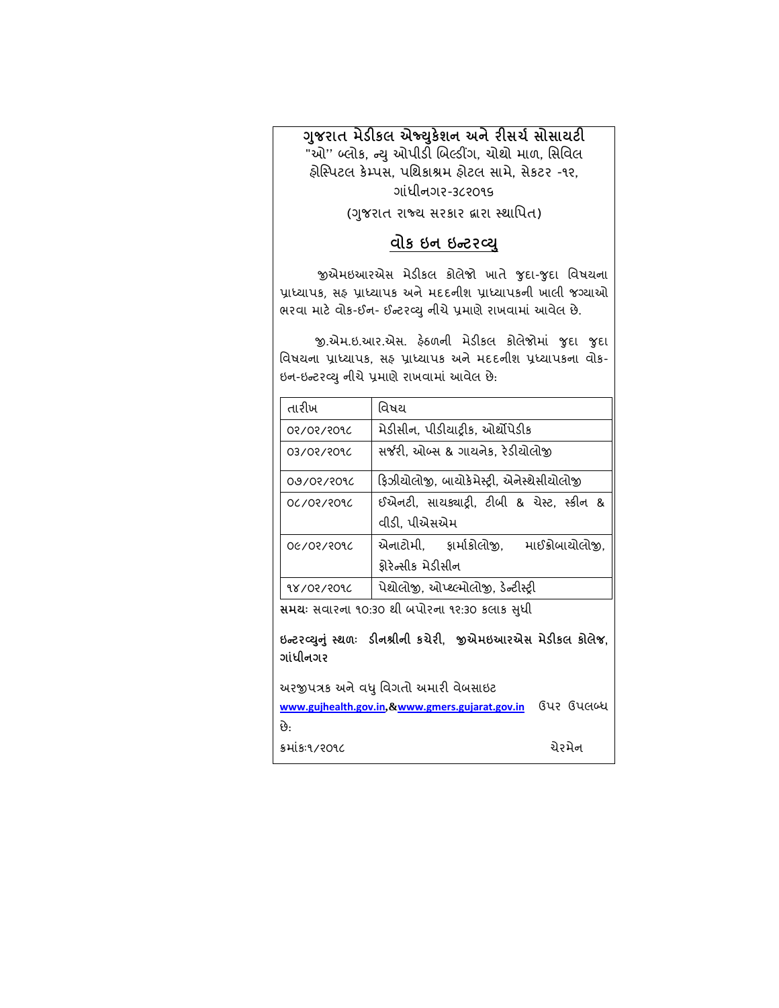**ગજુ રાત મેડીકલ એજ્યકુેશન અનેરીસર્ચસોસાયટી** "ઓ" બ્લોક, ન્યુ ઓપીડી બિલ્ડીંગ, ચોથો માળ, સિવિલ હોસ્પિટલ કેમ્પસ, પશિકાશ્રમ હોટલ સામે, સેકટર -૧૨, ગાંધીનગર-૩૮૨૦૧૬

(ગુજરાત રાજ્ય સરકાર દ્વારા સ્થાપિત)

# **વોક ઇન ઇન્ ટર્યુ**

જીએમઇઆરએસ મેડીકલ કોલેજો ખાતે જુદા-જુદા વિષયના પ્રાધ્યાપક, સફ પ્રાધ્યાપક અને મદદનીશ પ્રાધ્યાપકની ખાલી જગ્યાઓ ભરવા માટે વોક-ઈન- ઈન્ટરવ્યુ નીચે પ્રમાણે રાખવામાં આવેલ છે.

જી.એમ.ઇ.આર.એસ. હેઠળની મેડીકલ કોલેજોમાં જુદા જુદા વિષયના પ્રાધ્યાપક, સફ પ્રાધ્યાપક અને મદદનીશ પ્રધ્યાપકના વોક-ઇન-ઇન્ટરવ્યુ નીચે પ્રમાણે રાખવામાં આવેલ છે.

| તારીખ             | વિષય                                                      |  |  |  |  |
|-------------------|-----------------------------------------------------------|--|--|--|--|
| 2091/901/20       | મેડીસીન, પીડીયાટ્રીક, ઓર્થોપેડીક                          |  |  |  |  |
| 209/90/20         | સર્જરી. ઓબ્સ & ગાયનેક. રેડીયોલોજી                         |  |  |  |  |
| <b>09/05/3016</b> | ફિઝીચોલોજી, બાચોકેમેસ્ટ્રી, એનેસ્થેસીચોલોજી               |  |  |  |  |
| 209130130         | ઈએનટી, સાચક્યાટ્રી, ટીબી & ચેસ્ટ, સ્કીન &<br>વીડી, પીએસએમ |  |  |  |  |
| OG/03/3016        | એનાટોમી. કાર્માકોલોજી.<br>માઈક્રોબાયોલોજી.                |  |  |  |  |
|                   | ફ્રોરેન્સીક મેડીસીન                                       |  |  |  |  |
| १४/०२/२०१८        | પેશ્રોલોજી, ઓપ્શ્લ્મોલોજી, ડેન્ટીસ્ટ્રી                   |  |  |  |  |

**સમય**ઃ સવારના ૧૦:૩૦ થી બપોરના ૧૨:૩૦ કલાક સુધી

**ઇન્ ટર્યનુંુ સુ ળઃ ડીન્રીનનરીન કર્ેરી ીએએમઇરરએસ મેડીકલ કોલેજ ગાસધરીનનગર** 

અરજીપત્રક અને વધુ વિગતો અમારી વેબસાઇટ **[www.gujhealth.gov.in](http://www.gujhealth.gov.in/),&[www.gmers.gujarat.gov.in](http://www.gmers.gujarat.gov.in/)** ઉડ ઉડલબ્ધ છ,: ક્રમાંક:૧/૨૦૧૮ ો પ્રસ્તાર કરવા માટે કરવા માટે કરવા માટે કરવા માટે કરવા માટે કરવા માટે કરવા માટે કરવા માટે કરવા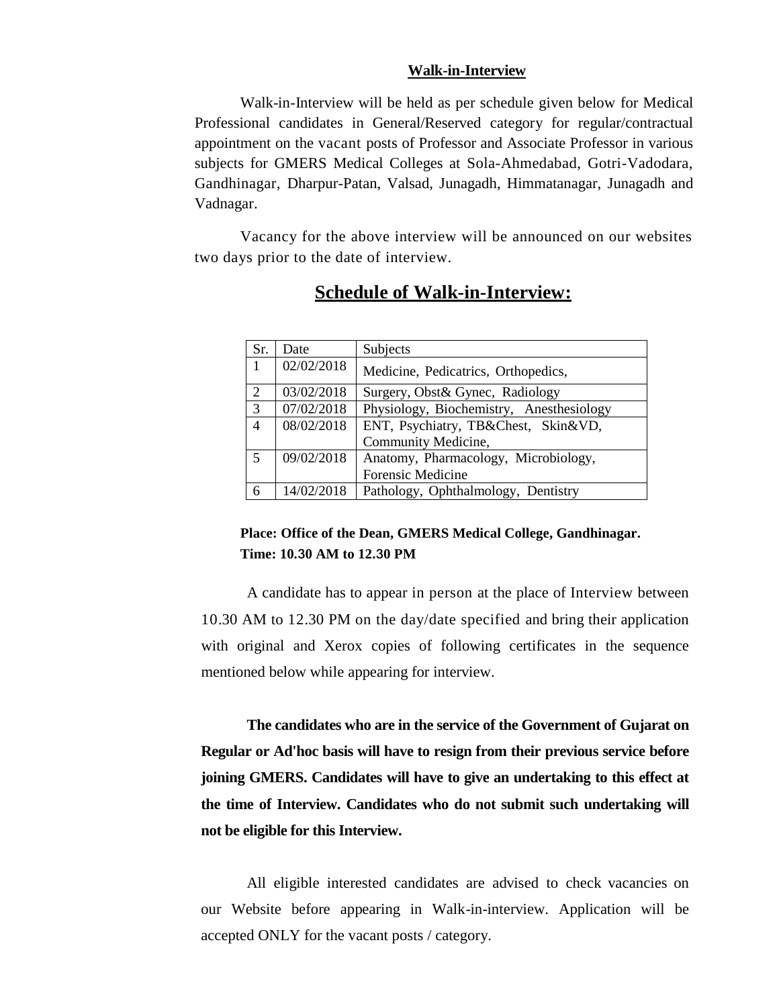#### **Walk-in-Interview**

Walk-in-Interview will be held as per schedule given below for Medical Professional candidates in General/Reserved category for regular/contractual appointment on the vacant posts of Professor and Associate Professor in various subjects for GMERS Medical Colleges at Sola-Ahmedabad, Gotri-Vadodara, Gandhinagar, Dharpur-Patan, Valsad, Junagadh, Himmatanagar, Junagadh and Vadnagar.

Vacancy for the above interview will be announced on our websites two days prior to the date of interview.

| Sr.            | Date       | Subjects                                 |
|----------------|------------|------------------------------------------|
|                | 02/02/2018 | Medicine, Pedicatrics, Orthopedics,      |
| 2              | 03/02/2018 | Surgery, Obst& Gynec, Radiology          |
| $\overline{3}$ | 07/02/2018 | Physiology, Biochemistry, Anesthesiology |
| $\overline{4}$ | 08/02/2018 | ENT, Psychiatry, TB&Chest, Skin&VD,      |
|                |            | Community Medicine,                      |
| 5              | 09/02/2018 | Anatomy, Pharmacology, Microbiology,     |
|                |            | <b>Forensic Medicine</b>                 |
|                | 14/02/2018 | Pathology, Ophthalmology, Dentistry      |

# **Schedule of Walk-in-Interview:**

## **Place: Office of the Dean, GMERS Medical College, Gandhinagar. Time: 10.30 AM to 12.30 PM**

A candidate has to appear in person at the place of Interview between 10.30 AM to 12.30 PM on the day/date specified and bring their application with original and Xerox copies of following certificates in the sequence mentioned below while appearing for interview.

**The candidates who are in the service of the Government of Gujarat on Regular or Ad'hoc basis will have to resign from their previous service before joining GMERS. Candidates will have to give an undertaking to this effect at the time of Interview. Candidates who do not submit such undertaking will not be eligible for this Interview.** 

All eligible interested candidates are advised to check vacancies on our Website before appearing in Walk-in-interview. Application will be accepted ONLY for the vacant posts / category.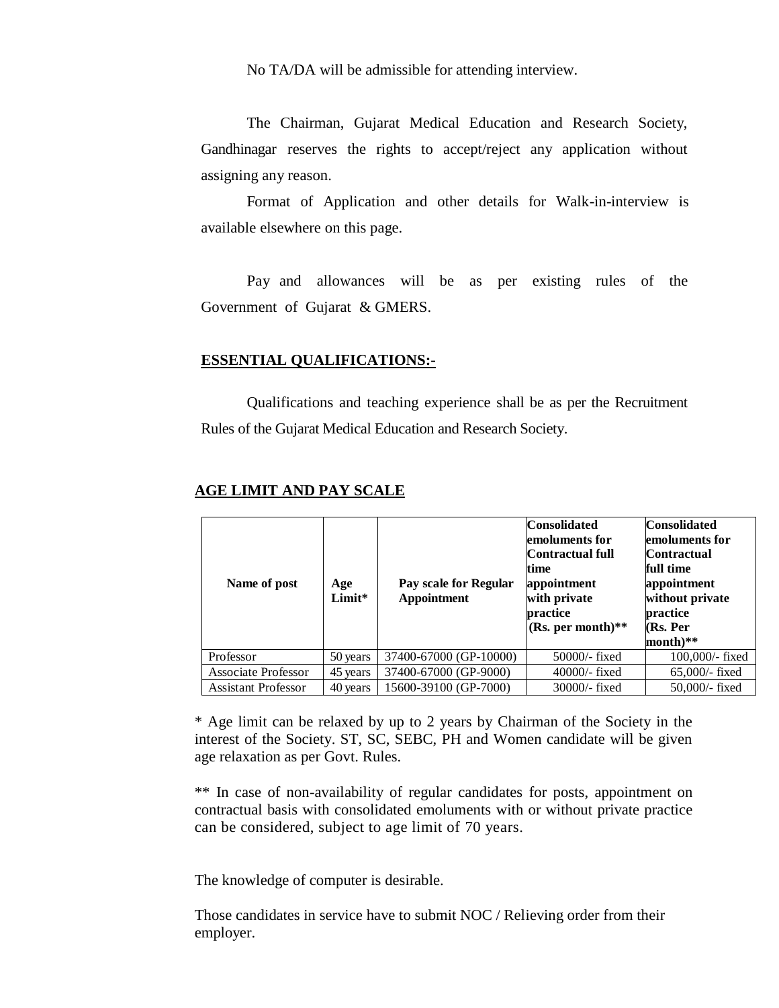No TA/DA will be admissible for attending interview.

The Chairman, Gujarat Medical Education and Research Society, Gandhinagar reserves the rights to accept/reject any application without assigning any reason.

Format of Application and other details for Walk-in-interview is available elsewhere on this page.

Pay and allowances will be as per existing rules of the Government of Gujarat & GMERS.

#### **ESSENTIAL QUALIFICATIONS:-**

Qualifications and teaching experience shall be as per the Recruitment Rules of the Gujarat Medical Education and Research Society.

| Name of post               | Age<br>Limit* | Pay scale for Regular<br><b>Appointment</b> | <b>Consolidated</b><br>emoluments for<br>Contractual full<br>time<br>appointment<br>with private<br>practice<br>(Rs. per month)** | <b>Consolidated</b><br>emoluments for<br>Contractual<br>full time<br>appointment<br>without private<br>practice<br>(Rs. Per<br>month)** |
|----------------------------|---------------|---------------------------------------------|-----------------------------------------------------------------------------------------------------------------------------------|-----------------------------------------------------------------------------------------------------------------------------------------|
| Professor                  | 50 years      | 37400-67000 (GP-10000)                      | $50000$ - fixed                                                                                                                   | 100,000/- fixed                                                                                                                         |
| <b>Associate Professor</b> | 45 years      | 37400-67000 (GP-9000)                       | $40000$ - fixed                                                                                                                   | $65,000$ - fixed                                                                                                                        |
| <b>Assistant Professor</b> | 40 years      | 15600-39100 (GP-7000)                       | $30000$ /- fixed                                                                                                                  | 50,000/- fixed                                                                                                                          |

#### **AGE LIMIT AND PAY SCALE**

\* Age limit can be relaxed by up to 2 years by Chairman of the Society in the interest of the Society. ST, SC, SEBC, PH and Women candidate will be given age relaxation as per Govt. Rules.

\*\* In case of non-availability of regular candidates for posts, appointment on contractual basis with consolidated emoluments with or without private practice can be considered, subject to age limit of 70 years.

The knowledge of computer is desirable.

Those candidates in service have to submit NOC / Relieving order from their employer.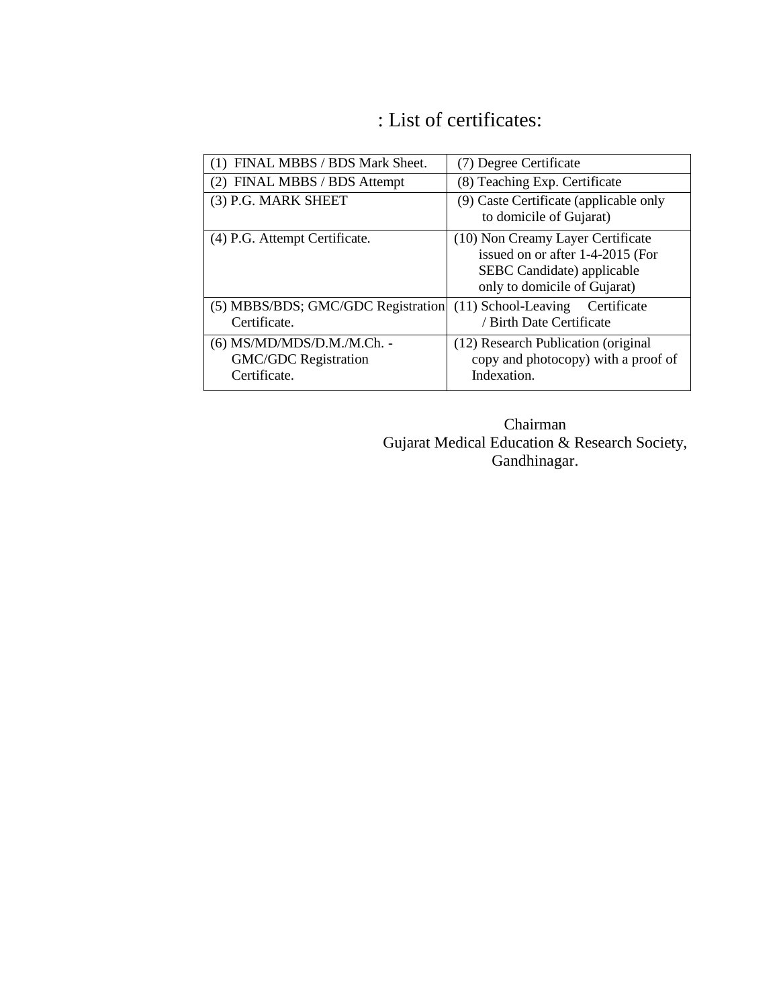# : List of certificates:

| (1) FINAL MBBS / BDS Mark Sheet.                                          | (7) Degree Certificate                                                                                                              |
|---------------------------------------------------------------------------|-------------------------------------------------------------------------------------------------------------------------------------|
| (2) FINAL MBBS / BDS Attempt                                              | (8) Teaching Exp. Certificate                                                                                                       |
| (3) P.G. MARK SHEET                                                       | (9) Caste Certificate (applicable only<br>to domicile of Gujarat)                                                                   |
| (4) P.G. Attempt Certificate.                                             | (10) Non Creamy Layer Certificate<br>issued on or after 1-4-2015 (For<br>SEBC Candidate) applicable<br>only to domicile of Gujarat) |
| (5) MBBS/BDS; GMC/GDC Registration<br>Certificate.                        | $(11)$ School-Leaving<br>Certificate<br>/ Birth Date Certificate                                                                    |
| (6) MS/MD/MDS/D.M./M.Ch. -<br><b>GMC/GDC</b> Registration<br>Certificate. | (12) Research Publication (original)<br>copy and photocopy) with a proof of<br>Indexation.                                          |

Chairman Gujarat Medical Education & Research Society, Gandhinagar.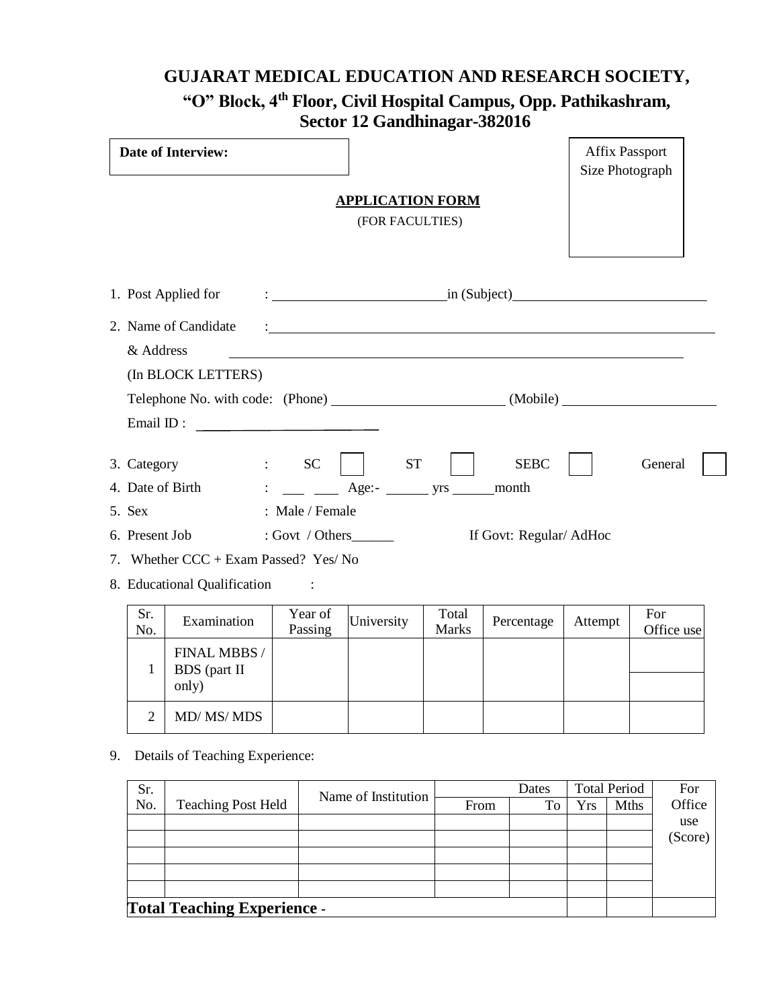# **GUJARAT MEDICAL EDUCATION AND RESEARCH SOCIETY, "O" Block, 4th Floor, Civil Hospital Campus, Opp. Pathikashram, Sector 12 Gandhinagar-382016**

|                                       | <b>Date of Interview:</b>             |                                                                         |            |                       |                                                                                                                           | <b>Affix Passport</b><br>Size Photograph |                   |  |
|---------------------------------------|---------------------------------------|-------------------------------------------------------------------------|------------|-----------------------|---------------------------------------------------------------------------------------------------------------------------|------------------------------------------|-------------------|--|
| <b>APPLICATION FORM</b>               |                                       |                                                                         |            |                       |                                                                                                                           |                                          |                   |  |
| (FOR FACULTIES)                       |                                       |                                                                         |            |                       |                                                                                                                           |                                          |                   |  |
|                                       |                                       |                                                                         |            |                       |                                                                                                                           |                                          |                   |  |
|                                       |                                       |                                                                         |            |                       |                                                                                                                           |                                          |                   |  |
|                                       |                                       |                                                                         |            |                       |                                                                                                                           |                                          |                   |  |
|                                       | 2. Name of Candidate                  |                                                                         |            |                       | <u>: In the community of the community of the community of the community of the community of the community of the com</u> |                                          |                   |  |
| & Address                             |                                       |                                                                         |            |                       |                                                                                                                           |                                          |                   |  |
|                                       | (In BLOCK LETTERS)                    |                                                                         |            |                       |                                                                                                                           |                                          |                   |  |
|                                       |                                       |                                                                         |            |                       |                                                                                                                           |                                          |                   |  |
|                                       | Email ID : $\qquad \qquad$            |                                                                         |            |                       |                                                                                                                           |                                          |                   |  |
|                                       |                                       |                                                                         |            |                       |                                                                                                                           |                                          |                   |  |
| 3. Category                           | $\mathsf{SC}$                         |                                                                         | <b>ST</b>  |                       | <b>SEBC</b>                                                                                                               |                                          | General           |  |
| 4. Date of Birth                      |                                       | $\mathbb{E}[\mathbf{z}^{\text{max}}]$ , where $\mathbf{z}^{\text{max}}$ |            |                       |                                                                                                                           |                                          |                   |  |
| 5. Sex                                |                                       | : Male / Female                                                         |            |                       |                                                                                                                           |                                          |                   |  |
| 6. Present Job                        |                                       |                                                                         |            |                       | If Govt: Regular/ AdHoc                                                                                                   |                                          |                   |  |
| 7. Whether CCC + Exam Passed? Yes/ No |                                       |                                                                         |            |                       |                                                                                                                           |                                          |                   |  |
|                                       | 8. Educational Qualification          | $\sim$ $\sim$ $\sim$ $\sim$                                             |            |                       |                                                                                                                           |                                          |                   |  |
| Sr.<br>No.                            | Examination                           | Year of<br>Passing                                                      | University | Total<br><b>Marks</b> | Percentage                                                                                                                | Attempt                                  | For<br>Office use |  |
| 1                                     | FINAL MBBS /<br>BDS (part II<br>only) |                                                                         |            |                       |                                                                                                                           |                                          |                   |  |

9. Details of Teaching Experience:

 $2$  MD/ MS/ MDS

| Sr.                                |                           | Name of Institution |      | Dates |     | <b>Total Period</b> | For     |
|------------------------------------|---------------------------|---------------------|------|-------|-----|---------------------|---------|
| No.                                | <b>Teaching Post Held</b> |                     | From | To    | Yrs | <b>Mths</b>         | Office  |
|                                    |                           |                     |      |       |     |                     | use     |
|                                    |                           |                     |      |       |     |                     | (Score) |
|                                    |                           |                     |      |       |     |                     |         |
|                                    |                           |                     |      |       |     |                     |         |
|                                    |                           |                     |      |       |     |                     |         |
| <b>Total Teaching Experience -</b> |                           |                     |      |       |     |                     |         |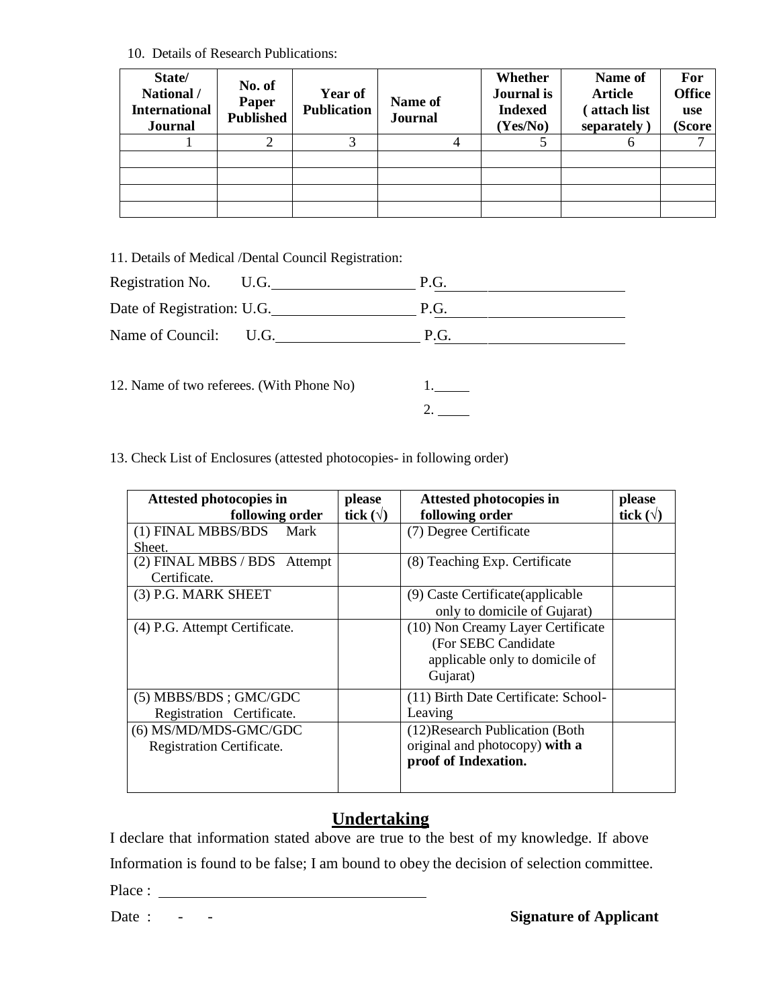10. Details of Research Publications:

| State/<br>National /<br><b>International</b><br><b>Journal</b> | No. of<br>Paper<br><b>Published</b> | <b>Year of</b><br><b>Publication</b> | Name of<br><b>Journal</b> | Whether<br>Journal is<br><b>Indexed</b><br>(Yes/No) | Name of<br><b>Article</b><br>attach list<br>separately) | For<br><b>Office</b><br>use<br>(Score |
|----------------------------------------------------------------|-------------------------------------|--------------------------------------|---------------------------|-----------------------------------------------------|---------------------------------------------------------|---------------------------------------|
|                                                                |                                     |                                      |                           |                                                     |                                                         |                                       |
|                                                                |                                     |                                      |                           |                                                     |                                                         |                                       |
|                                                                |                                     |                                      |                           |                                                     |                                                         |                                       |
|                                                                |                                     |                                      |                           |                                                     |                                                         |                                       |
|                                                                |                                     |                                      |                           |                                                     |                                                         |                                       |

11. Details of Medical /Dental Council Registration:

| Registration No. U.G.                     | P.G. |
|-------------------------------------------|------|
| Date of Registration: U.G.                | P.G. |
| Name of Council: U.G.                     | P.G. |
| 12. Name of two referees. (With Phone No) |      |

13. Check List of Enclosures (attested photocopies- in following order)

| Attested photocopies in       | please           | <b>Attested photocopies in</b>       | please           |
|-------------------------------|------------------|--------------------------------------|------------------|
| following order               | tick $(\forall)$ | following order                      | tick $(\forall)$ |
| (1) FINAL MBBS/BDS<br>Mark    |                  | (7) Degree Certificate               |                  |
| Sheet.                        |                  |                                      |                  |
| (2) FINAL MBBS / BDS Attempt  |                  | (8) Teaching Exp. Certificate        |                  |
| Certificate.                  |                  |                                      |                  |
| (3) P.G. MARK SHEET           |                  | (9) Caste Certificate (applicable    |                  |
|                               |                  | only to domicile of Gujarat)         |                  |
| (4) P.G. Attempt Certificate. |                  | (10) Non Creamy Layer Certificate    |                  |
|                               |                  | (For SEBC Candidate)                 |                  |
|                               |                  | applicable only to domicile of       |                  |
|                               |                  | Gujarat)                             |                  |
| $(5)$ MBBS/BDS; GMC/GDC       |                  | (11) Birth Date Certificate: School- |                  |
| Registration Certificate.     |                  | Leaving                              |                  |
| (6) MS/MD/MDS-GMC/GDC         |                  | (12) Research Publication (Both)     |                  |
| Registration Certificate.     |                  | original and photocopy) with a       |                  |
|                               |                  | proof of Indexation.                 |                  |
|                               |                  |                                      |                  |
|                               |                  |                                      |                  |

# **Undertaking**

I declare that information stated above are true to the best of my knowledge. If above

Information is found to be false; I am bound to obey the decision of selection committee.

Place :

Date :  $\qquad \qquad -$  **Signature of Applicant**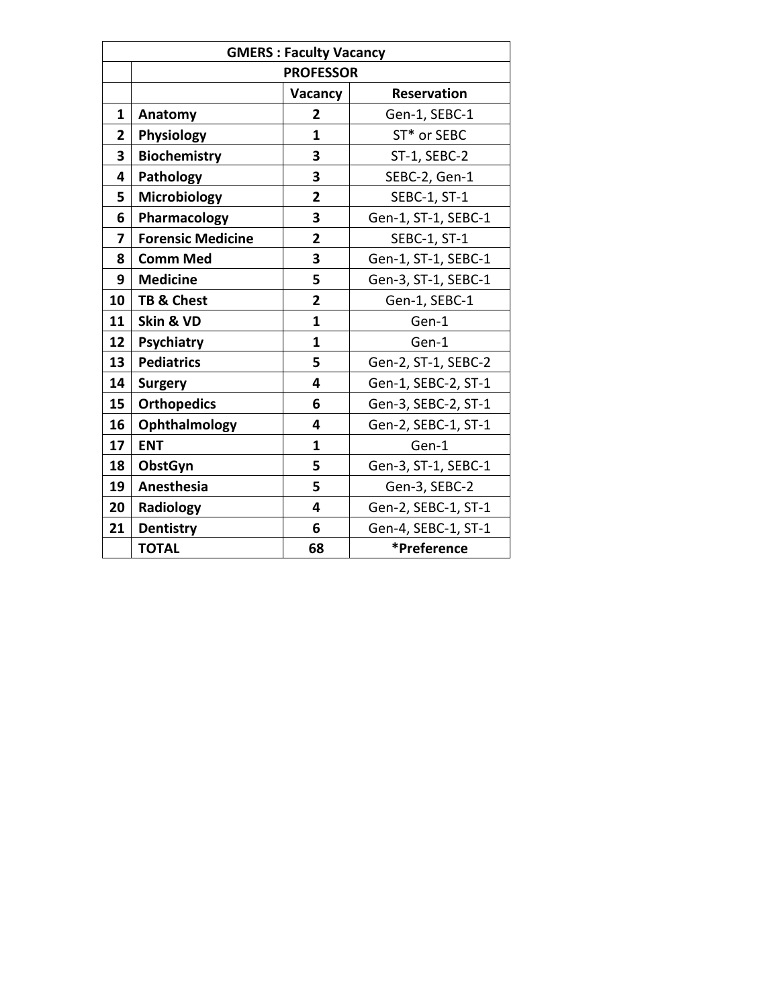|              | <b>GMERS : Faculty Vacancy</b> |                  |                     |  |  |
|--------------|--------------------------------|------------------|---------------------|--|--|
|              |                                | <b>PROFESSOR</b> |                     |  |  |
|              |                                | Vacancy          | <b>Reservation</b>  |  |  |
| $\mathbf{1}$ | Anatomy                        | $\overline{2}$   | Gen-1, SEBC-1       |  |  |
| $\mathbf{2}$ | Physiology                     | $\mathbf{1}$     | ST* or SEBC         |  |  |
| 3            | <b>Biochemistry</b>            | 3                | ST-1, SEBC-2        |  |  |
| 4            | Pathology                      | 3                | SEBC-2, Gen-1       |  |  |
| 5            | Microbiology                   | $\overline{2}$   | SEBC-1, ST-1        |  |  |
| 6            | Pharmacology                   | 3                | Gen-1, ST-1, SEBC-1 |  |  |
| 7            | <b>Forensic Medicine</b>       | $\overline{2}$   | SEBC-1, ST-1        |  |  |
| 8            | <b>Comm Med</b>                | 3                | Gen-1, ST-1, SEBC-1 |  |  |
| 9            | <b>Medicine</b>                | 5                | Gen-3, ST-1, SEBC-1 |  |  |
| 10           | TB & Chest                     | $\overline{2}$   | Gen-1, SEBC-1       |  |  |
| 11           | Skin & VD                      | $\mathbf{1}$     | Gen-1               |  |  |
| 12           | <b>Psychiatry</b>              | $\mathbf{1}$     | Gen-1               |  |  |
| 13           | <b>Pediatrics</b>              | 5                | Gen-2, ST-1, SEBC-2 |  |  |
| 14           | <b>Surgery</b>                 | 4                | Gen-1, SEBC-2, ST-1 |  |  |
| 15           | <b>Orthopedics</b>             | 6                | Gen-3, SEBC-2, ST-1 |  |  |
| 16           | Ophthalmology                  | 4                | Gen-2, SEBC-1, ST-1 |  |  |
| 17           | <b>ENT</b>                     | $\mathbf{1}$     | Gen-1               |  |  |
| 18           | ObstGyn                        | 5                | Gen-3, ST-1, SEBC-1 |  |  |
| 19           | Anesthesia                     | 5                | Gen-3, SEBC-2       |  |  |
| 20           | Radiology                      | 4                | Gen-2, SEBC-1, ST-1 |  |  |
| 21           | <b>Dentistry</b>               | 6                | Gen-4, SEBC-1, ST-1 |  |  |
|              | <b>TOTAL</b>                   | 68               | *Preference         |  |  |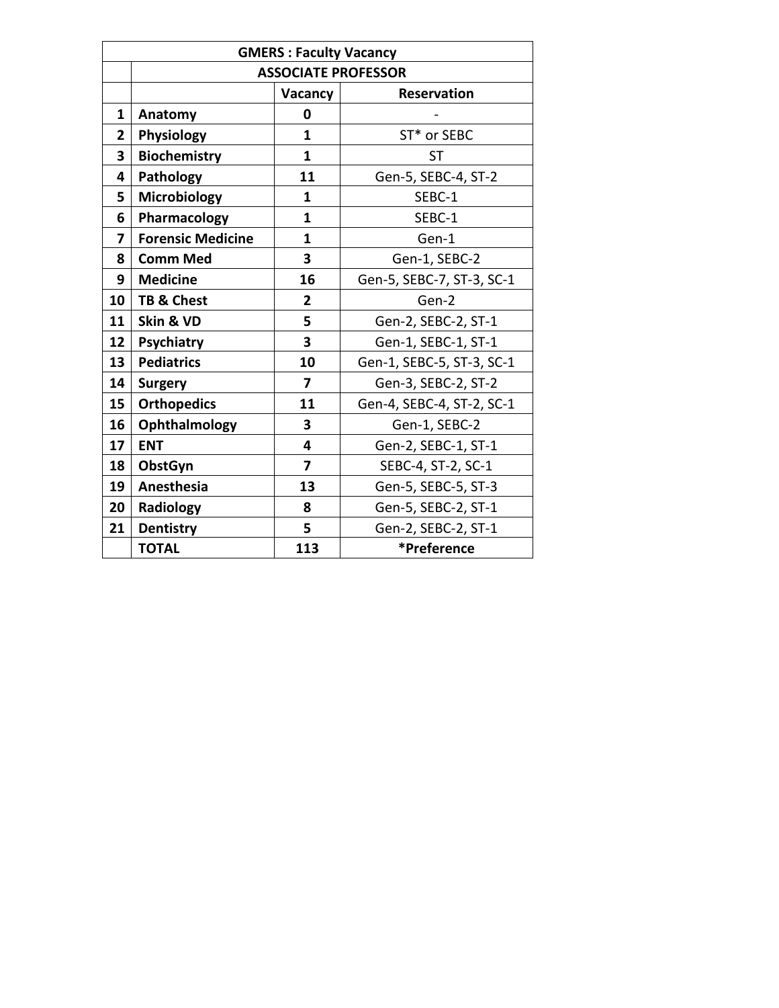|                | <b>GMERS: Faculty Vacancy</b> |                |                            |  |
|----------------|-------------------------------|----------------|----------------------------|--|
|                |                               |                | <b>ASSOCIATE PROFESSOR</b> |  |
|                |                               | Vacancy        | <b>Reservation</b>         |  |
| $\mathbf{1}$   | Anatomy                       | 0              |                            |  |
| $\overline{2}$ | Physiology                    | 1              | ST* or SEBC                |  |
| 3              | <b>Biochemistry</b>           | $\mathbf{1}$   | <b>ST</b>                  |  |
| 4              | Pathology                     | 11             | Gen-5, SEBC-4, ST-2        |  |
| 5              | Microbiology                  | 1              | SEBC-1                     |  |
| 6              | Pharmacology                  | $\mathbf{1}$   | SEBC-1                     |  |
| 7              | <b>Forensic Medicine</b>      | $\mathbf{1}$   | Gen-1                      |  |
| 8              | <b>Comm Med</b>               | 3              | Gen-1, SEBC-2              |  |
| 9              | <b>Medicine</b>               | 16             | Gen-5, SEBC-7, ST-3, SC-1  |  |
| 10             | <b>TB &amp; Chest</b>         | $\overline{2}$ | Gen-2                      |  |
| 11             | Skin & VD                     | 5              | Gen-2, SEBC-2, ST-1        |  |
| 12             | Psychiatry                    | 3              | Gen-1, SEBC-1, ST-1        |  |
| 13             | <b>Pediatrics</b>             | 10             | Gen-1, SEBC-5, ST-3, SC-1  |  |
| 14             | <b>Surgery</b>                | 7              | Gen-3, SEBC-2, ST-2        |  |
| 15             | <b>Orthopedics</b>            | 11             | Gen-4, SEBC-4, ST-2, SC-1  |  |
| 16             | Ophthalmology                 | 3              | Gen-1, SEBC-2              |  |
| 17             | <b>ENT</b>                    | 4              | Gen-2, SEBC-1, ST-1        |  |
| 18             | ObstGyn                       | $\overline{7}$ | SEBC-4, ST-2, SC-1         |  |
| 19             | Anesthesia                    | 13             | Gen-5, SEBC-5, ST-3        |  |
| 20             | Radiology                     | 8              | Gen-5, SEBC-2, ST-1        |  |
| 21             | <b>Dentistry</b>              | 5              | Gen-2, SEBC-2, ST-1        |  |
|                | <b>TOTAL</b>                  | 113            | *Preference                |  |